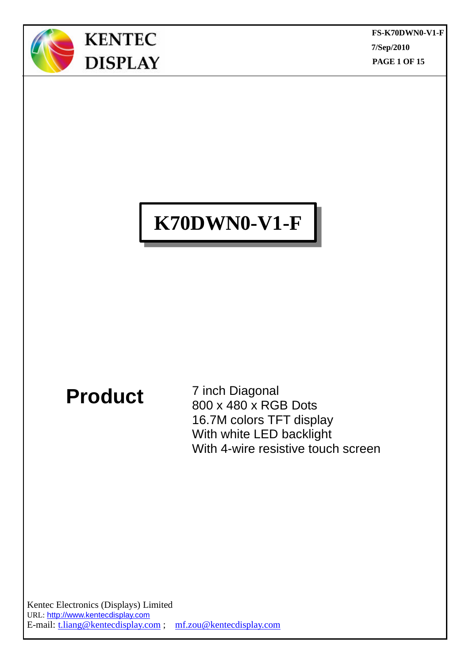

**KENTEC** 

**DISPLAY** 

#### **FS-K70DWN0-V1-F 7/Sep/2010 PAGE 1 OF 15**  $\overline{a}$

# **K70DWN0-V1-F**

**Product** 7 inch Diagonal 800 x 480 x RGB Dots 16.7M colors TFT display With white LED backlight With 4-wire resistive touch screen

Kentec Electronics (Displays) Limited URL: http://www.kentecdisplay.com E-mail: t.liang@kentecdisplay.com ; mf.zou@kentecdisplay.com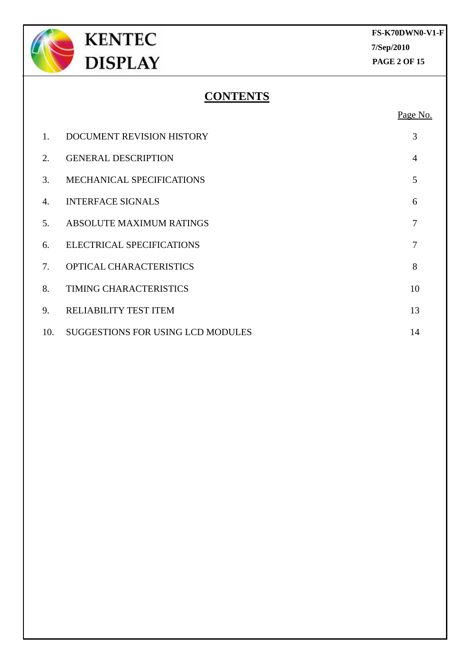

**FS-K70DWN0-V1-F 7/Sep/2010 PAGE 2 OF 15**

 $\overline{a}$ 

#### **CONTENTS**

Page No.

| 1.  | DOCUMENT REVISION HISTORY                | 3              |
|-----|------------------------------------------|----------------|
| 2.  | <b>GENERAL DESCRIPTION</b>               | $\overline{4}$ |
| 3.  | <b>MECHANICAL SPECIFICATIONS</b>         | 5              |
| 4.  | <b>INTERFACE SIGNALS</b>                 | 6              |
| 5.  | ABSOLUTE MAXIMUM RATINGS                 | 7              |
| 6.  | <b>ELECTRICAL SPECIFICATIONS</b>         |                |
| 7.  | <b>OPTICAL CHARACTERISTICS</b>           | 8              |
| 8.  | <b>TIMING CHARACTERISTICS</b>            | 10             |
| 9.  | RELIABILITY TEST ITEM                    | 13             |
| 10. | <b>SUGGESTIONS FOR USING LCD MODULES</b> | 14             |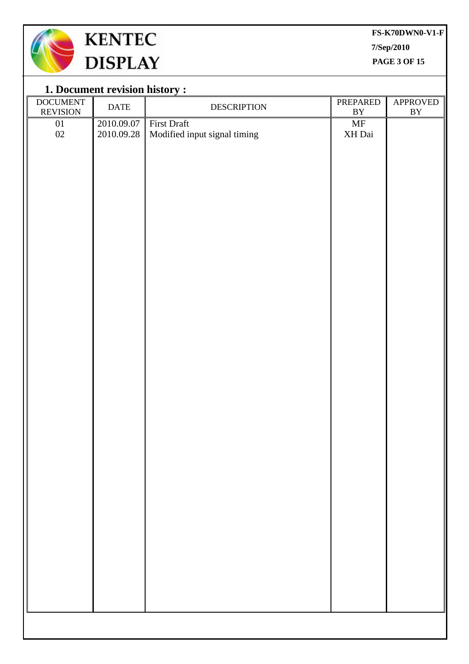

**FS-K70DWN0-V1-F**

**7/Sep/2010**

**PAGE 3 OF 15**  $\overline{a}$ 

| 1. Document revision history :                                  |                                             |                                    |                                           |  |  |  |  |
|-----------------------------------------------------------------|---------------------------------------------|------------------------------------|-------------------------------------------|--|--|--|--|
| <b>DOCUMENT</b><br>$\mathop{\mathrm{DATE}}$                     | <b>DESCRIPTION</b>                          | PREPARED<br>$\mathbf{B}\mathbf{Y}$ | <b>APPROVED</b><br>$\mathbf{B}\mathbf{Y}$ |  |  |  |  |
| <b>REVISION</b><br>2010.09.07<br>$01\,$<br>$02\,$<br>2010.09.28 | First Draft<br>Modified input signal timing | $\operatorname{MF}$<br>XH Dai      |                                           |  |  |  |  |
|                                                                 |                                             |                                    |                                           |  |  |  |  |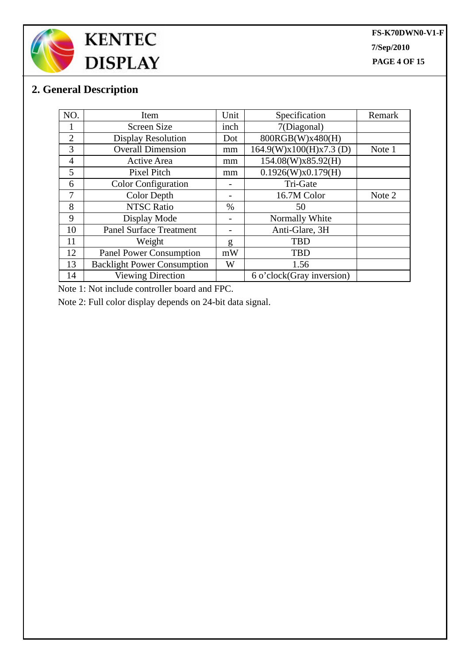

#### **2. General Description**

| NO.            | Item                               | Unit | Specification             | Remark |
|----------------|------------------------------------|------|---------------------------|--------|
|                | <b>Screen Size</b>                 | inch | 7(Diagonal)               |        |
| $\overline{2}$ | <b>Display Resolution</b>          | Dot  | 800RGB(W)x480(H)          |        |
| 3              | <b>Overall Dimension</b>           | mm   | 164.9(W)x100(H)x7.3 (D)   | Note 1 |
| $\overline{4}$ | Active Area                        | mm   | 154.08(W)x85.92(H)        |        |
| 5              | Pixel Pitch                        | mm   | 0.1926(W)x0.179(H)        |        |
| 6              | <b>Color Configuration</b>         |      | Tri-Gate                  |        |
| 7              | Color Depth                        |      | 16.7M Color               | Note 2 |
| 8              | <b>NTSC Ratio</b>                  | %    | 50                        |        |
| 9              | Display Mode                       |      | Normally White            |        |
| 10             | <b>Panel Surface Treatment</b>     |      | Anti-Glare, 3H            |        |
| 11             | Weight                             | g    | <b>TBD</b>                |        |
| 12             | <b>Panel Power Consumption</b>     | mW   | <b>TBD</b>                |        |
| 13             | <b>Backlight Power Consumption</b> | W    | 1.56                      |        |
| 14             | <b>Viewing Direction</b>           |      | 6 o'clock(Gray inversion) |        |

Note 1: Not include controller board and FPC.

Note 2: Full color display depends on 24-bit data signal.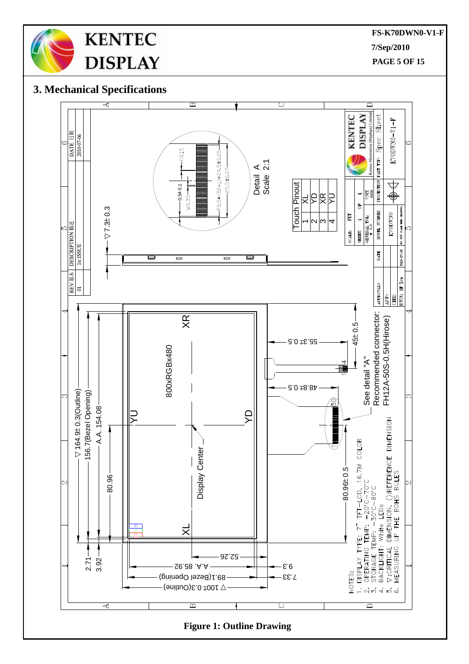

**FS-K70DWN0-V1-F**

**7/Sep/2010**

**PAGE 5 OF 15**  $\overline{a}$ 

#### **3. Mechanical Specifications**

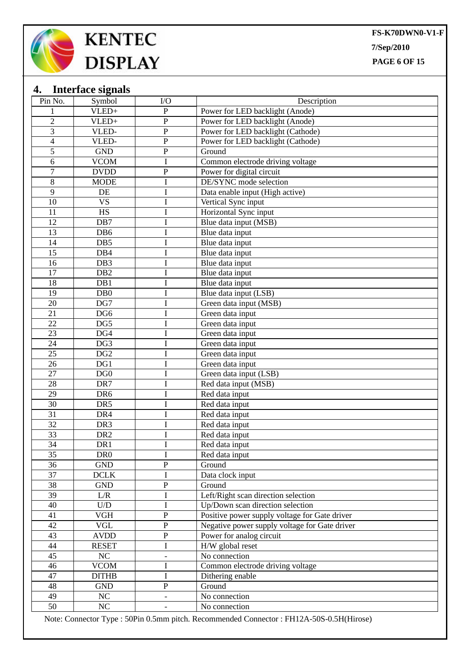

**FS-K70DWN0-V1-F 7/Sep/2010 PAGE 6 OF 15**

 $\overline{a}$ 

#### **4. Interface signals**

| Pin No.         | mittratt signals<br>Symbol | $\rm LO$                 | Description                                   |
|-----------------|----------------------------|--------------------------|-----------------------------------------------|
| 1               | VLED+                      | $\, {\bf P}$             | Power for LED backlight (Anode)               |
| $\overline{2}$  | VLED+                      | $\mathbf P$              | Power for LED backlight (Anode)               |
| 3               | VLED-                      | ${\bf P}$                | Power for LED backlight (Cathode)             |
| $\overline{4}$  | VLED-                      | $\overline{P}$           | Power for LED backlight (Cathode)             |
| 5               | <b>GND</b>                 | ${\bf P}$                | Ground                                        |
| 6               | <b>VCOM</b>                | I                        | Common electrode driving voltage              |
| $\overline{7}$  | <b>DVDD</b>                | $\overline{P}$           | Power for digital circuit                     |
| $\overline{8}$  | <b>MODE</b>                | $\mathbf I$              | DE/SYNC mode selection                        |
| $\overline{9}$  | DE                         | $\mathbf I$              | Data enable input (High active)               |
| 10              | <b>VS</b>                  | $\overline{I}$           | Vertical Sync input                           |
| 11              | <b>HS</b>                  | $\bf I$                  | Horizontal Sync input                         |
| 12              | DB7                        | $\mathbf I$              | Blue data input (MSB)                         |
| 13              | DB <sub>6</sub>            | $\mathbf I$              | Blue data input                               |
| 14              | DB5                        | I                        | Blue data input                               |
| 15              | DB <sub>4</sub>            | $\mathbf I$              | Blue data input                               |
| 16              | DB <sub>3</sub>            | $\mathbf I$              | Blue data input                               |
| 17              | DB <sub>2</sub>            | I                        | Blue data input                               |
| 18              | DB1                        | I                        | Blue data input                               |
| 19              | D <sub>B</sub> 0           | I                        | Blue data input (LSB)                         |
| 20              | DG7                        | $\mathbf I$              | Green data input (MSB)                        |
| 21              | DG <sub>6</sub>            | $\mathbf I$              | Green data input                              |
| 22              | DG5                        | $\mathbf I$              | Green data input                              |
| 23              | DG4                        | $\mathbf I$              | Green data input                              |
| 24              | DG <sub>3</sub>            | I                        | Green data input                              |
| 25              | DG <sub>2</sub>            | I                        | Green data input                              |
| 26              | DG1                        | I                        | Green data input                              |
| 27              | DG0                        | $\bf I$                  | Green data input (LSB)                        |
| 28              | DR7                        | $\bf I$                  | Red data input (MSB)                          |
| 29              | DR <sub>6</sub>            | $\mathbf I$              | Red data input                                |
| 30              | DR5                        | $\overline{I}$           | Red data input                                |
| 31              | DR <sub>4</sub>            | $\mathbf I$              | Red data input                                |
| $\overline{32}$ | DR <sub>3</sub>            | $\mathbf I$              | Red data input                                |
| 33              | DR <sub>2</sub>            | $\mathbf I$              | Red data input                                |
| 34              | DR1                        | I                        |                                               |
| 35              | DR <sub>0</sub>            | I                        | Red data input                                |
| 36              | <b>GND</b>                 | ${\bf P}$                | Red data input<br>Ground                      |
| 37              | <b>DCLK</b>                | $\mathbf I$              | Data clock input                              |
| 38              | <b>GND</b>                 | ${\bf P}$                | Ground                                        |
| 39              | L/R                        | $\bf I$                  | Left/Right scan direction selection           |
| 40              | U/D                        | $\bf I$                  | Up/Down scan direction selection              |
| 41              | <b>VGH</b>                 | ${\bf P}$                | Positive power supply voltage for Gate driver |
| 42              | <b>VGL</b>                 | $\overline{P}$           | Negative power supply voltage for Gate driver |
| 43              | <b>AVDD</b>                | $\overline{P}$           | Power for analog circuit                      |
| 44              | <b>RESET</b>               | $\bf I$                  | H/W global reset                              |
| 45              | NC                         | $\overline{\phantom{0}}$ | No connection                                 |
| 46              | <b>VCOM</b>                | $\bf I$                  | Common electrode driving voltage              |
| 47              | <b>DITHB</b>               | I                        | Dithering enable                              |
| 48              | <b>GND</b>                 | ${\bf P}$                | Ground                                        |
| 49              | NC                         | $\overline{\phantom{a}}$ | No connection                                 |
| 50              | $\rm NC$                   |                          | No connection                                 |
|                 |                            | $\overline{\phantom{a}}$ |                                               |

Note: Connector Type : 50Pin 0.5mm pitch. Recommended Connector : FH12A-50S-0.5H(Hirose)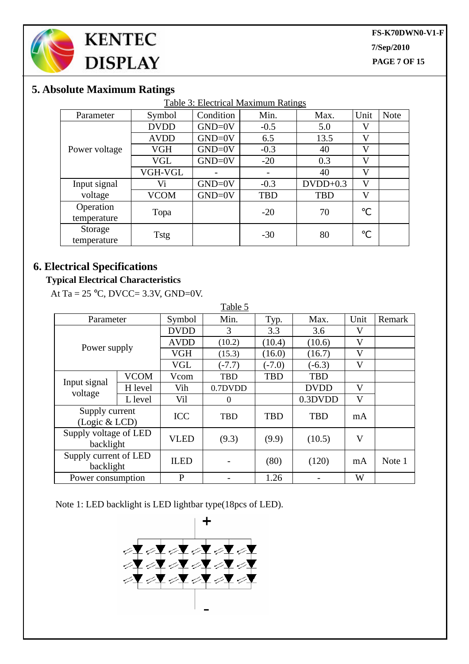

**FS-K70DWN0-V1-F 7/Sep/2010 PAGE 7 OF 15**

 $\overline{a}$ 

#### **5. Absolute Maximum Ratings**

| <b>Table 3: Electrical Maximum Ratings</b> |             |           |            |            |                         |             |  |
|--------------------------------------------|-------------|-----------|------------|------------|-------------------------|-------------|--|
| Parameter                                  | Symbol      | Condition | Min.       | Max.       | Unit                    | <b>Note</b> |  |
|                                            | <b>DVDD</b> | $GND=0V$  | $-0.5$     | 5.0        | V                       |             |  |
|                                            | <b>AVDD</b> | $GND=0V$  | 6.5        | 13.5       | V                       |             |  |
| Power voltage                              | VGH         | $GND=0V$  | $-0.3$     | 40         | V                       |             |  |
|                                            | VGL         | $GND=0V$  | $-20$      | 0.3        | V                       |             |  |
|                                            | VGH-VGL     |           |            | 40         | V                       |             |  |
| Input signal                               | Vi          | $GND=0V$  | $-0.3$     | $DVDD+0.3$ | $\overline{\mathsf{V}}$ |             |  |
| voltage                                    | <b>VCOM</b> | $GND=0V$  | <b>TBD</b> | <b>TBD</b> | V                       |             |  |
| Operation<br>temperature                   | Topa        |           | $-20$      | 70         |                         |             |  |
| Storage<br>temperature                     | <b>Tstg</b> |           | $-30$      | 80         |                         |             |  |

#### **6. Electrical Specifications**

#### **Typical Electrical Characteristics**

At Ta =  $25$  °C, DVCC= 3.3V, GND=0V.

|                                    |             |              | Table 5    |            |             |                         |        |
|------------------------------------|-------------|--------------|------------|------------|-------------|-------------------------|--------|
| Parameter                          |             | Symbol       | Min.       | Typ.       | Max.        | Unit                    | Remark |
|                                    |             | <b>DVDD</b>  | 3          | 3.3        | 3.6         | V                       |        |
| Power supply                       |             | <b>AVDD</b>  | (10.2)     | (10.4)     | (10.6)      | V                       |        |
|                                    |             | <b>VGH</b>   | (15.3)     | (16.0)     | (16.7)      | V                       |        |
|                                    |             | <b>VGL</b>   | $(-7.7)$   | $(-7.0)$   | $(-6.3)$    | $\overline{\mathsf{V}}$ |        |
| Input signal                       | <b>VCOM</b> | Vcom         | TBD        | <b>TBD</b> | <b>TBD</b>  |                         |        |
| voltage                            | H level     | Vih          | 0.7DVDD    |            | <b>DVDD</b> | V                       |        |
|                                    | L level     | Vil          | $\Omega$   |            | 0.3DVDD     | $\overline{\mathsf{V}}$ |        |
| Supply current<br>(Logic & LCD)    |             | <b>ICC</b>   | <b>TBD</b> | <b>TBD</b> | <b>TBD</b>  | mA                      |        |
| Supply voltage of LED<br>backlight |             | <b>VLED</b>  | (9.3)      | (9.9)      | (10.5)      | $\overline{\mathsf{V}}$ |        |
| Supply current of LED<br>backlight |             | <b>ILED</b>  |            | (80)       | (120)       | mA                      | Note 1 |
| Power consumption                  |             | $\mathbf{P}$ |            | 1.26       |             | W                       |        |

Note 1: LED backlight is LED lightbar type(18pcs of LED).

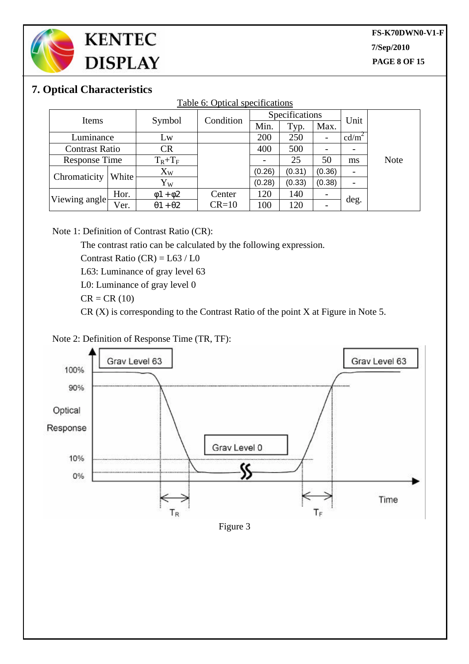

**FS-K70DWN0-V1-F 7/Sep/2010 PAGE 8 OF 15**

 $\overline{a}$ 

#### **7. Optical Characteristics**

| <b>Table 6: Optical specifications</b> |       |                         |           |                |        |        |                   |             |
|----------------------------------------|-------|-------------------------|-----------|----------------|--------|--------|-------------------|-------------|
| Items                                  |       | Symbol                  | Condition | Specifications |        |        | Unit              |             |
|                                        |       |                         |           | Min.           | Typ.   | Max.   |                   |             |
| Luminance                              |       | Lw                      |           | 200            | 250    |        | cd/m <sup>2</sup> |             |
| <b>Contrast Ratio</b>                  |       | <b>CR</b>               |           | 400            | 500    |        |                   |             |
| <b>Response Time</b>                   |       | $T_R + T_F$             |           |                | 25     | 50     | ms                | <b>Note</b> |
| Chromaticity                           | White | $\mathrm{X_{W}}$        |           | (0.26)         | (0.31) | (0.36) |                   |             |
|                                        |       | ${\rm Y}_{\rm W}$       |           | (0.28)         | (0.33) | (0.38) |                   |             |
| Viewing angle                          | Hor.  | $\phi$ 1 + $\phi$ 2     | Center    | 120            | 140    |        |                   |             |
|                                        | Ver.  | $\theta$ 1 + $\theta$ 2 | $CR=10$   | 100            | 120    |        | deg.              |             |

Note 1: Definition of Contrast Ratio (CR):

The contrast ratio can be calculated by the following expression.

Contrast Ratio  $(CR) = L63 / L0$ 

L63: Luminance of gray level 63

L0: Luminance of gray level 0

 $CR = CR(10)$ 

CR (X) is corresponding to the Contrast Ratio of the point X at Figure in Note 5.





Figure 3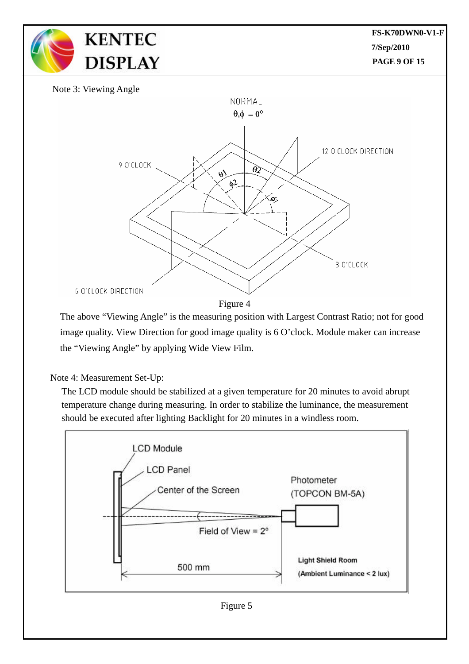

Figure 4

The above "Viewing Angle" is the measuring position with Largest Contrast Ratio; not for good image quality. View Direction for good image quality is 6 O'clock. Module maker can increase the "Viewing Angle" by applying Wide View Film.

#### Note 4: Measurement Set-Up:

The LCD module should be stabilized at a given temperature for 20 minutes to avoid abrupt temperature change during measuring. In order to stabilize the luminance, the measurement should be executed after lighting Backlight for 20 minutes in a windless room.

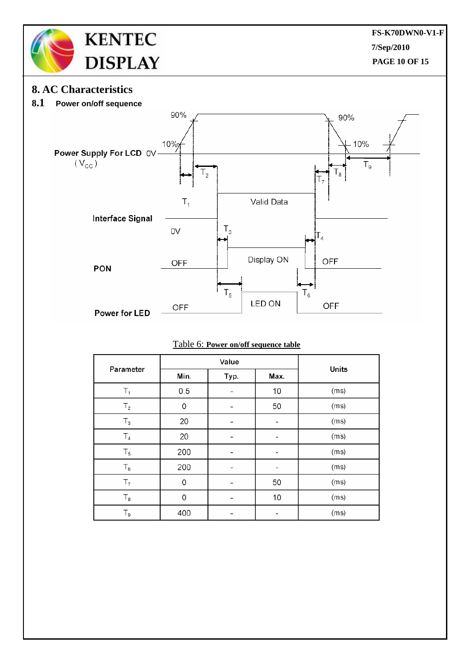

#### Table 6: **Power on/off sequence table**

|                |      | Value |      |       |
|----------------|------|-------|------|-------|
| Parameter      | Min. | Typ.  | Max. | Units |
| $T_1$          | 0.5  |       | 10   | (ms)  |
| $T_{2}$        | 0    | -     | 50   | (ms)  |
| $T_3$          | 20   | -     | -    | (ms)  |
| $T_4$          | 20   |       |      | (ms)  |
| $T_5$          | 200  |       | -    | (ms)  |
| $T_6$          | 200  | -     |      | (ms)  |
| T <sub>7</sub> | 0    | -     | 50   | (ms)  |
| $T_8$          | 0    | -     | 10   | (ms)  |
| $T_{9}$        | 400  | -     |      | (ms)  |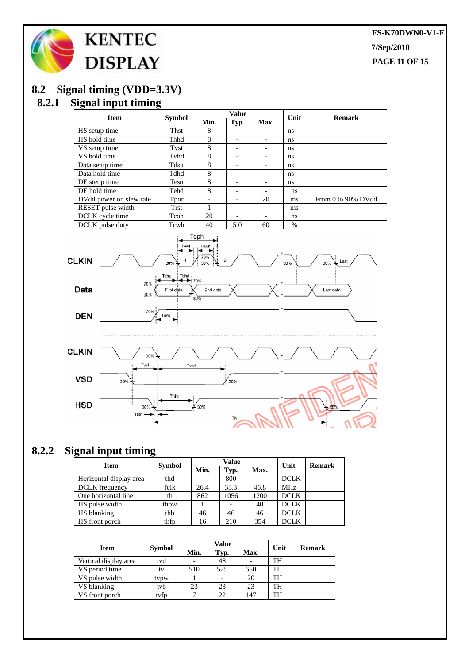

**FS-K70DWN0-V1-F 7/Sep/2010 PAGE 11 OF 15**

 $\overline{a}$ 

### **8.2 Signal timing (VDD=3.3V)**

#### **8.2.1 Signal input timing**

| o<br>o<br><b>Item</b>   |               |      | Value                    |                          | Unit | <b>Remark</b>      |
|-------------------------|---------------|------|--------------------------|--------------------------|------|--------------------|
|                         | <b>Symbol</b> | Min. | Typ.                     | Max.                     |      |                    |
| HS setup time           | Thst          | 8    |                          | -                        | ns   |                    |
| HS hold time            | Thhd          | 8    |                          |                          | ns   |                    |
| VS setup time           | Tvst          | 8    |                          |                          | ns   |                    |
| VS hold time            | Tyhd          | 8    |                          |                          | ns   |                    |
| Data setup time         | Tdsu          | 8    |                          | $\overline{\phantom{a}}$ | ns   |                    |
| Data hold time          | Tdhd          | 8    | $\overline{\phantom{0}}$ | -                        | ns   |                    |
| DE steup time           | Tesu          | 8    |                          |                          | ns   |                    |
| DE hold time            | Tehd          | 8    |                          |                          | ns   |                    |
| DVdd power on slew rate | Tpor          |      |                          | 20                       | ms   | From 0 to 90% DVdd |
| RESET pulse width       | Trst          |      | -                        | $\overline{\phantom{a}}$ | ms   |                    |
| DCLK cycle time         | Tcoh          | 20   |                          |                          | ns   |                    |
| DCLK pulse duty         | Tcwh          | 40   | 50                       | 60                       | $\%$ |                    |





#### **8.2.2 Signal input timing**

| <b>Item</b>             | <b>Symbol</b> |      | Value | Unit | <b>Remark</b> |  |
|-------------------------|---------------|------|-------|------|---------------|--|
|                         |               | Min. | Typ.  | Max. |               |  |
| Horizontal display area | thd           |      | 800   |      | <b>DCLK</b>   |  |
| <b>DCLK</b> frequency   | fclk          | 26.4 | 33.3  | 46.8 | <b>MHz</b>    |  |
| One horizontal line     | th            | 862  | 1056  | 1200 | <b>DCLK</b>   |  |
| HS pulse width          | thpw          |      |       | 40   | <b>DCLK</b>   |  |
| HS blanking             | thb           | 46   | 46    | 46   | <b>DCLK</b>   |  |
| HS front porch          | thfp          | 16   | 210   | 354  | <b>DCLK</b>   |  |

| <b>Item</b>           |               |      | <b>Value</b> | Unit | <b>Remark</b> |  |
|-----------------------|---------------|------|--------------|------|---------------|--|
|                       | <b>Symbol</b> | Min. | Typ.         | Max. |               |  |
| Vertical display area | tvd           |      | 48           |      | TH            |  |
| VS period time        | tv            | 510  | 525          | 650  | TH            |  |
| VS pulse width        | typw          |      |              | 20   | TH            |  |
| VS blanking           | tvb           | 23   | 23           | 23   | TH            |  |
| VS front porch        | tvfp          |      | 22           | 147  | TH            |  |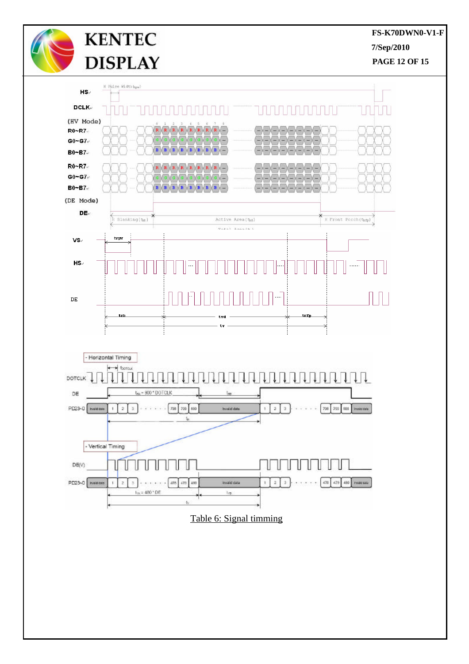

**FS-K70DWN0-V1-F 7/Sep/2010**

**PAGE 12 OF 15**  $\overline{a}$ 

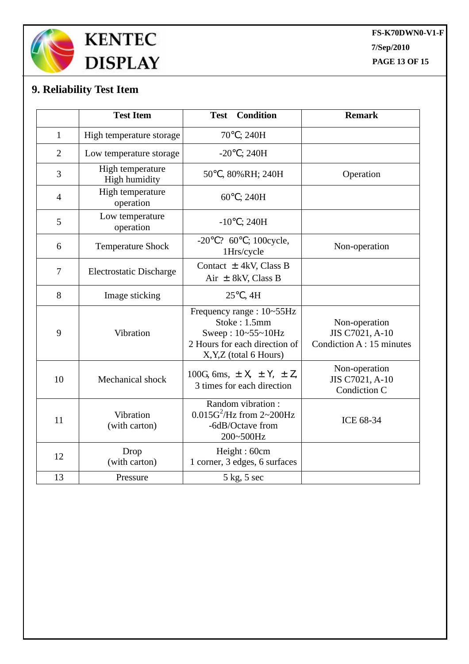

**FS-K70DWN0-V1-F 7/Sep/2010 PAGE 13 OF 15**

 $\overline{a}$ 

#### **9. Reliability Test Item**

|                | <b>Test Item</b>                  | <b>Condition</b><br><b>Test</b>                                                                                                   | <b>Remark</b>                                                |
|----------------|-----------------------------------|-----------------------------------------------------------------------------------------------------------------------------------|--------------------------------------------------------------|
| $\mathbf{1}$   | High temperature storage          | 70<br>;240H                                                                                                                       |                                                              |
| $\overline{2}$ | Low temperature storage           | $-20$ ; 240H                                                                                                                      |                                                              |
| 3              | High temperature<br>High humidity | 50<br>, 80%RH; 240H                                                                                                               | Operation                                                    |
| $\overline{4}$ | High temperature<br>operation     | 60<br>;240H                                                                                                                       |                                                              |
| 5              | Low temperature<br>operation      | $-10$ ; 240H                                                                                                                      |                                                              |
| 6              | <b>Temperature Shock</b>          | ? 60 ; 100cycle,<br>$-20$<br>1Hrs/cycle                                                                                           | Non-operation                                                |
| $\tau$         | <b>Electrostatic Discharge</b>    | Contact $\pm$ 4kV, Class B<br>$Air \pm 8kV$ , Class B                                                                             |                                                              |
| 8              | Image sticking                    | 25, 4H                                                                                                                            |                                                              |
| 9              | Vibration                         | Frequency range : 10~55Hz<br>Stoke: 1.5mm<br>Sweep: $10 - 55 - 10$ Hz<br>2 Hours for each direction of<br>X, Y, Z (total 6 Hours) | Non-operation<br>JIS C7021, A-10<br>Condiction A: 15 minutes |
| 10             | Mechanical shock                  | 100G, 6ms, $\pm X$ , $\pm Y$ , $\pm Z$ ,<br>3 times for each direction                                                            | Non-operation<br>JIS C7021, A-10<br>Condiction C             |
| 11             | Vibration<br>(with carton)        | Random vibration:<br>$0.015G^2$ /Hz from 2~200Hz<br>-6dB/Octave from<br>200~500Hz                                                 | ICE 68-34                                                    |
| 12             | Drop<br>(with carton)             | Height: 60cm<br>1 corner, 3 edges, 6 surfaces                                                                                     |                                                              |
| 13             | Pressure                          | 5 kg, 5 sec                                                                                                                       |                                                              |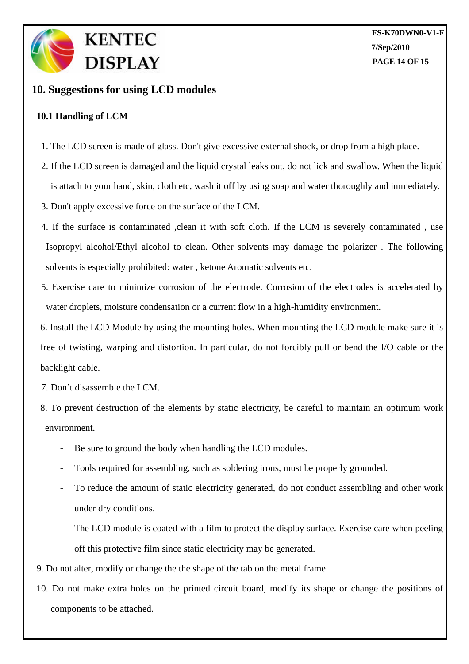#### **10. Suggestions for using LCD modules**

**KENTEC** 

**DISPLAY** 

#### **10.1 Handling of LCM**

- 1. The LCD screen is made of glass. Don't give excessive external shock, or drop from a high place.
- 2. If the LCD screen is damaged and the liquid crystal leaks out, do not lick and swallow. When the liquid is attach to your hand, skin, cloth etc, wash it off by using soap and water thoroughly and immediately.
- 3. Don't apply excessive force on the surface of the LCM.
- 4. If the surface is contaminated ,clean it with soft cloth. If the LCM is severely contaminated , use Isopropyl alcohol/Ethyl alcohol to clean. Other solvents may damage the polarizer . The following solvents is especially prohibited: water , ketone Aromatic solvents etc.
- 5. Exercise care to minimize corrosion of the electrode. Corrosion of the electrodes is accelerated by water droplets, moisture condensation or a current flow in a high-humidity environment.

6. Install the LCD Module by using the mounting holes. When mounting the LCD module make sure it is free of twisting, warping and distortion. In particular, do not forcibly pull or bend the I/O cable or the backlight cable.

7. Don't disassemble the LCM.

8. To prevent destruction of the elements by static electricity, be careful to maintain an optimum work environment.

- Be sure to ground the body when handling the LCD modules.
- Tools required for assembling, such as soldering irons, must be properly grounded.
- To reduce the amount of static electricity generated, do not conduct assembling and other work under dry conditions.
- The LCD module is coated with a film to protect the display surface. Exercise care when peeling off this protective film since static electricity may be generated.

9. Do not alter, modify or change the the shape of the tab on the metal frame.

10. Do not make extra holes on the printed circuit board, modify its shape or change the positions of components to be attached.